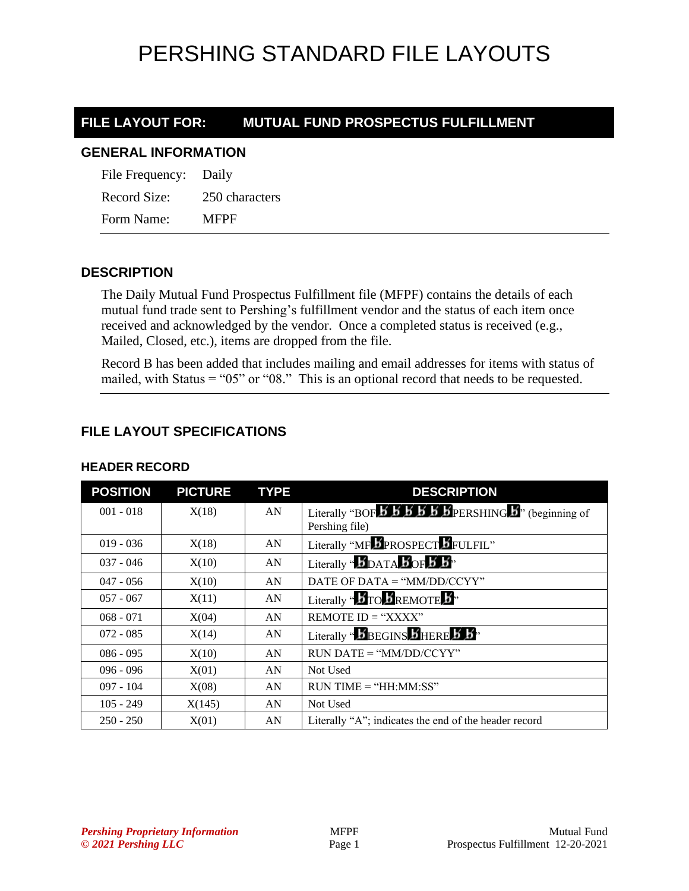# PERSHING STANDARD FILE LAYOUTS

# **FILE LAYOUT FOR: MUTUAL FUND PROSPECTUS FULFILLMENT**

#### **GENERAL INFORMATION**

| File Frequency: Daily |                |
|-----------------------|----------------|
| Record Size:          | 250 characters |
| Form Name:            | MFPF           |

## **DESCRIPTION**

The Daily Mutual Fund Prospectus Fulfillment file (MFPF) contains the details of each mutual fund trade sent to Pershing's fulfillment vendor and the status of each item once received and acknowledged by the vendor. Once a completed status is received (e.g., Mailed, Closed, etc.), items are dropped from the file.

Record B has been added that includes mailing and email addresses for items with status of mailed, with Status = "05" or "08." This is an optional record that needs to be requested.

# **FILE LAYOUT SPECIFICATIONS**

| <b>POSITION</b> | <b>PICTURE</b> | <b>TYPE</b> | <b>DESCRIPTION</b>                                                                        |
|-----------------|----------------|-------------|-------------------------------------------------------------------------------------------|
| $001 - 018$     | X(18)          | AN          |                                                                                           |
|                 |                |             | Pershing file)                                                                            |
| $019 - 036$     | X(18)          | AN          | Literally "MF PROSPECT FULFIL"                                                            |
| $037 - 046$     | X(10)          | AN          | Literally " $\mathbf{5}_{\text{DATA}}$ $\mathbf{5}_{\text{OF}}$ $\mathbf{5}_{\text{B}}$ " |
| $047 - 056$     | X(10)          | AN          | DATE OF DATA = " $MM/DD/CCYY"$                                                            |
| $057 - 067$     | X(11)          | AN          | Literally " <b>BTO BREMOTE</b> B"                                                         |
| $068 - 071$     | X(04)          | AN          | REMOTE ID = " $XXX"$                                                                      |
| $072 - 085$     | X(14)          | AN          | Literally "BBEGINS BHERE B B"                                                             |
| $086 - 095$     | X(10)          | AN          | $RUN\ DATE = "MM/DD/CCYY"$                                                                |
| $096 - 096$     | X(01)          | AN          | Not Used                                                                                  |
| $097 - 104$     | X(08)          | AN          | $RUN TIME = "HH:MM:SS"$                                                                   |
| $105 - 249$     | X(145)         | AN          | Not Used                                                                                  |
| $250 - 250$     | X(01)          | AN          | Literally "A"; indicates the end of the header record                                     |

### **HEADER RECORD**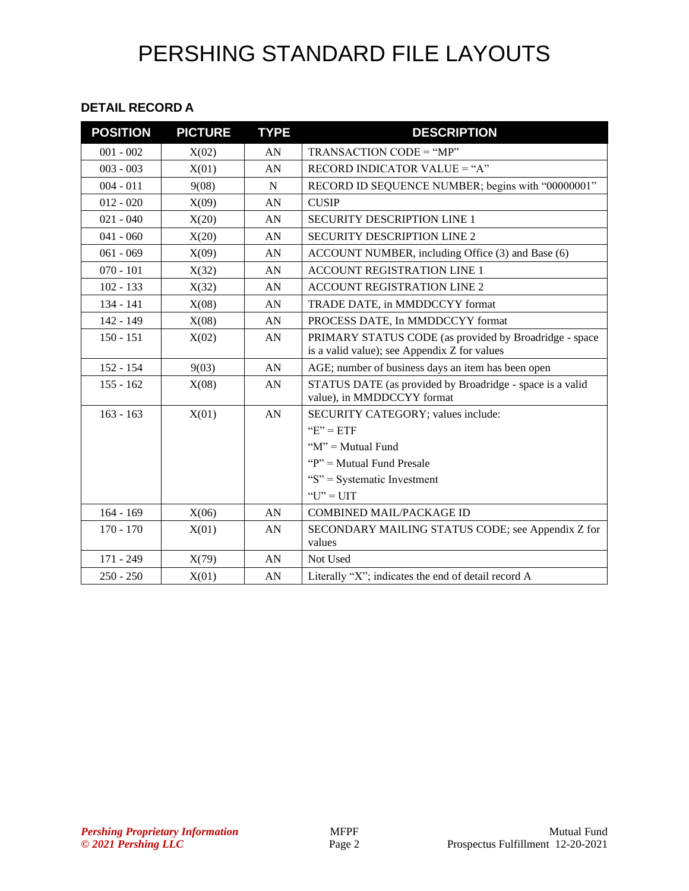# PERSHING STANDARD FILE LAYOUTS

#### **DETAIL RECORD A**

| <b>POSITION</b> | <b>PICTURE</b> | <b>TYPE</b> | <b>DESCRIPTION</b>                                                                      |
|-----------------|----------------|-------------|-----------------------------------------------------------------------------------------|
| $001 - 002$     | X(02)          | AN          | TRANSACTION CODE = "MP"                                                                 |
| $003 - 003$     | X(01)          | AN          | RECORD INDICATOR VALUE = "A"                                                            |
| $004 - 011$     | 9(08)          | N           | RECORD ID SEQUENCE NUMBER; begins with "00000001"                                       |
| $012 - 020$     | X(09)          | AN          | <b>CUSIP</b>                                                                            |
| $021 - 040$     | X(20)          | AN          | <b>SECURITY DESCRIPTION LINE 1</b>                                                      |
| $041 - 060$     | X(20)          | AN          | <b>SECURITY DESCRIPTION LINE 2</b>                                                      |
| $061 - 069$     | X(09)          | AN          | ACCOUNT NUMBER, including Office (3) and Base (6)                                       |
| $070 - 101$     | X(32)          | AN          | ACCOUNT REGISTRATION LINE 1                                                             |
| $102 - 133$     | X(32)          | AN          | <b>ACCOUNT REGISTRATION LINE 2</b>                                                      |
| $134 - 141$     | X(08)          | AN          | TRADE DATE, in MMDDCCYY format                                                          |
| 142 - 149       | X(08)          | AN          | PROCESS DATE, In MMDDCCYY format                                                        |
| $150 - 151$     | X(02)          | AN          | PRIMARY STATUS CODE (as provided by Broadridge - space                                  |
|                 |                |             | is a valid value); see Appendix Z for values                                            |
| $152 - 154$     | 9(03)          | AN          | AGE; number of business days an item has been open                                      |
| $155 - 162$     | X(08)          | AN          | STATUS DATE (as provided by Broadridge - space is a valid<br>value), in MMDDCCYY format |
| $163 - 163$     | X(01)          | AN          | SECURITY CATEGORY; values include:                                                      |
|                 |                |             | " $E$ " = ETF                                                                           |
|                 |                |             | " $M$ " = Mutual Fund                                                                   |
|                 |                |             | " $P$ " = Mutual Fund Presale                                                           |
|                 |                |             | "S" = Systematic Investment                                                             |
|                 |                |             | "U" = UIT                                                                               |
| $164 - 169$     | X(06)          | AN          | <b>COMBINED MAIL/PACKAGE ID</b>                                                         |
| $170 - 170$     | X(01)          | AN          | SECONDARY MAILING STATUS CODE; see Appendix Z for                                       |
|                 |                |             | values                                                                                  |
| 171 - 249       | X(79)          | AN          | Not Used                                                                                |
| $250 - 250$     | X(01)          | AN          | Literally "X"; indicates the end of detail record A                                     |